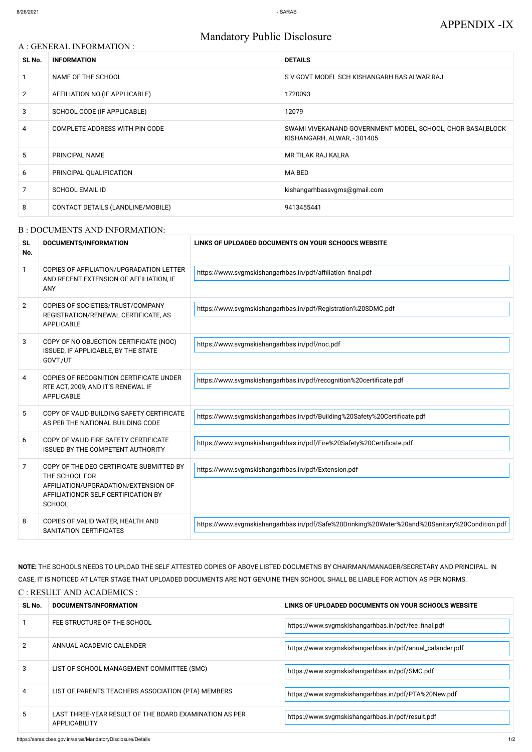# A : GENERAL INFORMATION : **SL No. INFORMATION DETAILS** 1 NAME OF THE SCHOOL SCHOOL SUBSERVEY AS V GOVT MODEL SCH KISHANGARH BAS ALWAR RAJ 2 AFFILIATION NO. (IF APPLICABLE) 1720093 3 SCHOOL CODE (IF APPLICABLE) 12079 4 COMPLETE ADDRESS WITH PIN CODE SWAMI VIVEKANAND GOVERNMENT MODEL, SCHOOL, CHOR BASAI,BLOCK KISHANGARH, ALWAR, - 301405 5 PRINCIPAL NAME NAME RESERVE TO A RESERVE THE MR TILAK RAJ KALRA 6 PRINCIPAL QUALIFICATION **EXAMPLE 19** MA BED 7 SCHOOL EMAIL ID kishangarhbassvgms@gmail.com 8 CONTACT DETAILS (LANDLINE/MOBILE) 3413455441

# Mandatory Public Disclosure

#### B : DOCUMENTS AND INFORMATION:

| <b>SL</b><br>No. | <b>DOCUMENTS/INFORMATION</b>                                                                                                                               | LINKS OF UPLOADED DOCUMENTS ON YOUR SCHOOL'S WEBSITE                                           |
|------------------|------------------------------------------------------------------------------------------------------------------------------------------------------------|------------------------------------------------------------------------------------------------|
| $\mathbf{1}$     | COPIES OF AFFILIATION/UPGRADATION LETTER<br>AND RECENT EXTENSION OF AFFILIATION, IF<br><b>ANY</b>                                                          | https://www.svgmskishangarhbas.in/pdf/affiliation_final.pdf                                    |
| $\overline{2}$   | COPIES OF SOCIETIES/TRUST/COMPANY<br>REGISTRATION/RENEWAL CERTIFICATE, AS<br><b>APPLICABLE</b>                                                             | https://www.svgmskishangarhbas.in/pdf/Registration%20SDMC.pdf                                  |
| 3                | COPY OF NO OBJECTION CERTIFICATE (NOC)<br>ISSUED, IF APPLICABLE, BY THE STATE<br>GOVT./UT                                                                  | https://www.svgmskishangarhbas.in/pdf/noc.pdf                                                  |
| 4                | COPIES OF RECOGNITION CERTIFICATE UNDER<br>RTE ACT, 2009, AND IT'S RENEWAL IF<br><b>APPLICABLE</b>                                                         | https://www.svgmskishangarhbas.in/pdf/recognition%20certificate.pdf                            |
| 5                | COPY OF VALID BUILDING SAFETY CERTIFICATE<br>AS PER THE NATIONAL BUILDING CODE                                                                             | https://www.svgmskishangarhbas.in/pdf/Building%20Safety%20Certificate.pdf                      |
| 6                | COPY OF VALID FIRE SAFETY CERTIFICATE<br><b>ISSUED BY THE COMPETENT AUTHORITY</b>                                                                          | https://www.svgmskishangarhbas.in/pdf/Fire%20Safety%20Certificate.pdf                          |
| $\overline{7}$   | COPY OF THE DEO CERTIFICATE SUBMITTED BY<br>THE SCHOOL FOR<br>AFFILIATION/UPGRADATION/EXTENSION OF<br>AFFILIATIONOR SELF CERTIFICATION BY<br><b>SCHOOL</b> | https://www.svgmskishangarhbas.in/pdf/Extension.pdf                                            |
| 8                | COPIES OF VALID WATER, HEALTH AND<br>SANITATION CERTIFICATES                                                                                               | https://www.svgmskishangarhbas.in/pdf/Safe%20Drinking%20Water%20and%20Sanitary%20Condition.pdf |

# CASE, IT IS NOTICED AT LATER STAGE THAT UPLOADED DOCUMENTS ARE NOT GENUINE THEN SCHOOL SHALL BE LIABLE FOR ACTION AS PER NORMS. C : RESULT AND ACADEMICS :

| SL No. | DOCUMENTS/INFORMATION                                                          | LINKS OF UPLOADED DOCUMENTS ON YOUR SCHOOL'S WEBSITE     |
|--------|--------------------------------------------------------------------------------|----------------------------------------------------------|
|        | FEE STRUCTURE OF THE SCHOOL                                                    | https://www.svgmskishangarhbas.in/pdf/fee_final.pdf      |
|        | ANNUAL ACADEMIC CALENDER                                                       | https://www.svgmskishangarhbas.in/pdf/anual_calander.pdf |
| 3      | LIST OF SCHOOL MANAGEMENT COMMITTEE (SMC)                                      | https://www.svgmskishangarhbas.in/pdf/SMC.pdf            |
| 4      | LIST OF PARENTS TEACHERS ASSOCIATION (PTA) MEMBERS                             | https://www.svgmskishangarhbas.in/pdf/PTA%20New.pdf      |
| 5      | LAST THREE-YEAR RESULT OF THE BOARD EXAMINATION AS PER<br><b>APPLICABILITY</b> | https://www.svgmskishangarhbas.in/pdf/result.pdf         |